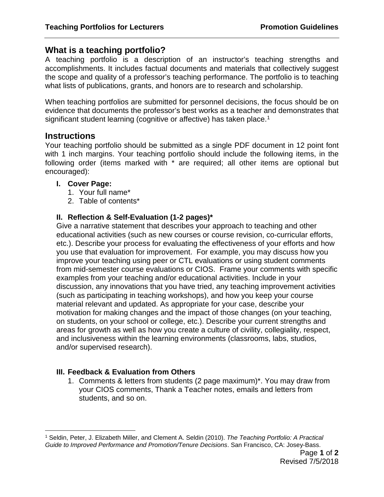# **What is a teaching portfolio?**

A teaching portfolio is a description of an instructor's teaching strengths and accomplishments. It includes factual documents and materials that collectively suggest the scope and quality of a professor's teaching performance. The portfolio is to teaching what lists of publications, grants, and honors are to research and scholarship.

When teaching portfolios are submitted for personnel decisions, the focus should be on evidence that documents the professor's best works as a teacher and demonstrates that significant student learning (cognitive or affective) has taken place.<sup>[1](#page-0-0)</sup>

## **Instructions**

Your teaching portfolio should be submitted as a single PDF document in 12 point font with 1 inch margins. Your teaching portfolio should include the following items, in the following order (items marked with \* are required; all other items are optional but encouraged):

## **I. Cover Page:**

- 1. Your full name\*
- 2. Table of contents\*

## **II. Reflection & Self-Evaluation (1-2 pages)\***

Give a narrative statement that describes your approach to teaching and other educational activities (such as new courses or course revision, co-curricular efforts, etc.). Describe your process for evaluating the effectiveness of your efforts and how you use that evaluation for improvement. For example, you may discuss how you improve your teaching using peer or CTL evaluations or using student comments from mid-semester course evaluations or CIOS. Frame your comments with specific examples from your teaching and/or educational activities. Include in your discussion, any innovations that you have tried, any teaching improvement activities (such as participating in teaching workshops), and how you keep your course material relevant and updated. As appropriate for your case, describe your motivation for making changes and the impact of those changes (on your teaching, on students, on your school or college, etc.). Describe your current strengths and areas for growth as well as how you create a culture of civility, collegiality, respect, and inclusiveness within the learning environments (classrooms, labs, studios, and/or supervised research).

#### **III. Feedback & Evaluation from Others**

1. Comments & letters from students (2 page maximum)\*. You may draw from your CIOS comments, Thank a Teacher notes, emails and letters from students, and so on.

<span id="page-0-0"></span> <sup>1</sup> Seldin, Peter, J. Elizabeth Miller, and Clement A. Seldin (2010). *The Teaching Portfolio: A Practical Guide to Improved Performance and Promotion/Tenure Decisions*. San Francisco, CA: Josey-Bass.